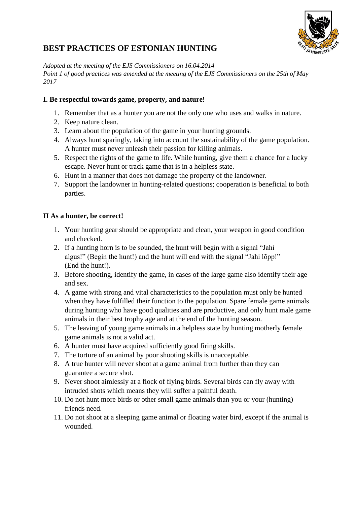

# **BEST PRACTICES OF ESTONIAN HUNTING**

*Adopted at the meeting of the EJS Commissioners on 16.04.2014 Point 1 of good practices was amended at the meeting of the EJS Commissioners on the 25th of May 2017*

# **I. Be respectful towards game, property, and nature!**

- 1. Remember that as a hunter you are not the only one who uses and walks in nature.
- 2. Keep nature clean.
- 3. Learn about the population of the game in your hunting grounds.
- 4. Always hunt sparingly, taking into account the sustainability of the game population. A hunter must never unleash their passion for killing animals.
- 5. Respect the rights of the game to life. While hunting, give them a chance for a lucky escape. Never hunt or track game that is in a helpless state.
- 6. Hunt in a manner that does not damage the property of the landowner.
- 7. Support the landowner in hunting-related questions; cooperation is beneficial to both parties.

# **II As a hunter, be correct!**

- 1. Your hunting gear should be appropriate and clean, your weapon in good condition and checked.
- 2. If a hunting horn is to be sounded, the hunt will begin with a signal "Jahi algus!" (Begin the hunt!) and the hunt will end with the signal "Jahi lõpp!" (End the hunt!).
- 3. Before shooting, identify the game, in cases of the large game also identify their age and sex.
- 4. A game with strong and vital characteristics to the population must only be hunted when they have fulfilled their function to the population. Spare female game animals during hunting who have good qualities and are productive, and only hunt male game animals in their best trophy age and at the end of the hunting season.
- 5. The leaving of young game animals in a helpless state by hunting motherly female game animals is not a valid act.
- 6. A hunter must have acquired sufficiently good firing skills.
- 7. The torture of an animal by poor shooting skills is unacceptable.
- 8. A true hunter will never shoot at a game animal from further than they can guarantee a secure shot.
- 9. Never shoot aimlessly at a flock of flying birds. Several birds can fly away with intruded shots which means they will suffer a painful death.
- 10. Do not hunt more birds or other small game animals than you or your (hunting) friends need.
- 11. Do not shoot at a sleeping game animal or floating water bird, except if the animal is wounded.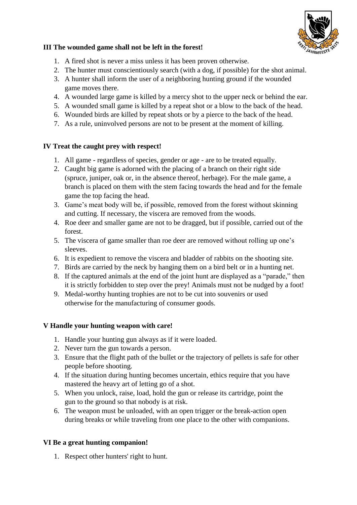

#### **III The wounded game shall not be left in the forest!**

- 1. A fired shot is never a miss unless it has been proven otherwise.
- 2. The hunter must conscientiously search (with a dog, if possible) for the shot animal.
- 3. A hunter shall inform the user of a neighboring hunting ground if the wounded game moves there.
- 4. A wounded large game is killed by a mercy shot to the upper neck or behind the ear.
- 5. A wounded small game is killed by a repeat shot or a blow to the back of the head.
- 6. Wounded birds are killed by repeat shots or by a pierce to the back of the head.
- 7. As a rule, uninvolved persons are not to be present at the moment of killing.

### **IV Treat the caught prey with respect!**

- 1. All game regardless of species, gender or age are to be treated equally.
- 2. Caught big game is adorned with the placing of a branch on their right side (spruce, juniper, oak or, in the absence thereof, herbage). For the male game, a branch is placed on them with the stem facing towards the head and for the female game the top facing the head.
- 3. Game's meat body will be, if possible, removed from the forest without skinning and cutting. If necessary, the viscera are removed from the woods.
- 4. Roe deer and smaller game are not to be dragged, but if possible, carried out of the forest.
- 5. The viscera of game smaller than roe deer are removed without rolling up one's sleeves.
- 6. It is expedient to remove the viscera and bladder of rabbits on the shooting site.
- 7. Birds are carried by the neck by hanging them on a bird belt or in a hunting net.
- 8. If the captured animals at the end of the joint hunt are displayed as a "parade," then it is strictly forbidden to step over the prey! Animals must not be nudged by a foot!
- 9. Medal-worthy hunting trophies are not to be cut into souvenirs or used otherwise for the manufacturing of consumer goods.

### **V Handle your hunting weapon with care!**

- 1. Handle your hunting gun always as if it were loaded.
- 2. Never turn the gun towards a person.
- 3. Ensure that the flight path of the bullet or the trajectory of pellets is safe for other people before shooting.
- 4. If the situation during hunting becomes uncertain, ethics require that you have mastered the heavy art of letting go of a shot.
- 5. When you unlock, raise, load, hold the gun or release its cartridge, point the gun to the ground so that nobody is at risk.
- 6. The weapon must be unloaded, with an open trigger or the break-action open during breaks or while traveling from one place to the other with companions.

### **VI Be a great hunting companion!**

1. Respect other hunters' right to hunt.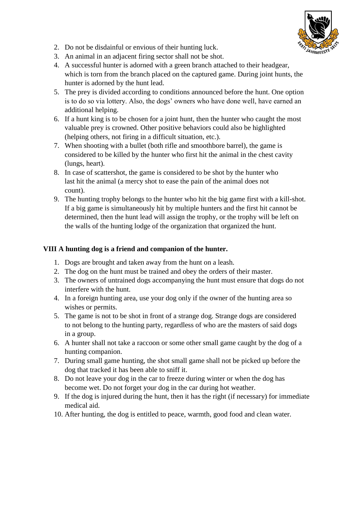

- 2. Do not be disdainful or envious of their hunting luck.
- 3. An animal in an adjacent firing sector shall not be shot.
- 4. A successful hunter is adorned with a green branch attached to their headgear, which is torn from the branch placed on the captured game. During joint hunts, the hunter is adorned by the hunt lead.
- 5. The prey is divided according to conditions announced before the hunt. One option is to do so via lottery. Also, the dogs' owners who have done well, have earned an additional helping.
- 6. If a hunt king is to be chosen for a joint hunt, then the hunter who caught the most valuable prey is crowned. Other positive behaviors could also be highlighted (helping others, not firing in a difficult situation, etc.).
- 7. When shooting with a bullet (both rifle and smoothbore barrel), the game is considered to be killed by the hunter who first hit the animal in the chest cavity (lungs, heart).
- 8. In case of scattershot, the game is considered to be shot by the hunter who last hit the animal (a mercy shot to ease the pain of the animal does not count).
- 9. The hunting trophy belongs to the hunter who hit the big game first with a kill-shot. If a big game is simultaneously hit by multiple hunters and the first hit cannot be determined, then the hunt lead will assign the trophy, or the trophy will be left on the walls of the hunting lodge of the organization that organized the hunt.

#### **VIII A hunting dog is a friend and companion of the hunter.**

- 1. Dogs are brought and taken away from the hunt on a leash.
- 2. The dog on the hunt must be trained and obey the orders of their master.
- 3. The owners of untrained dogs accompanying the hunt must ensure that dogs do not interfere with the hunt.
- 4. In a foreign hunting area, use your dog only if the owner of the hunting area so wishes or permits.
- 5. The game is not to be shot in front of a strange dog. Strange dogs are considered to not belong to the hunting party, regardless of who are the masters of said dogs in a group.
- 6. A hunter shall not take a raccoon or some other small game caught by the dog of a hunting companion.
- 7. During small game hunting, the shot small game shall not be picked up before the dog that tracked it has been able to sniff it.
- 8. Do not leave your dog in the car to freeze during winter or when the dog has become wet. Do not forget your dog in the car during hot weather.
- 9. If the dog is injured during the hunt, then it has the right (if necessary) for immediate medical aid.
- 10. After hunting, the dog is entitled to peace, warmth, good food and clean water.